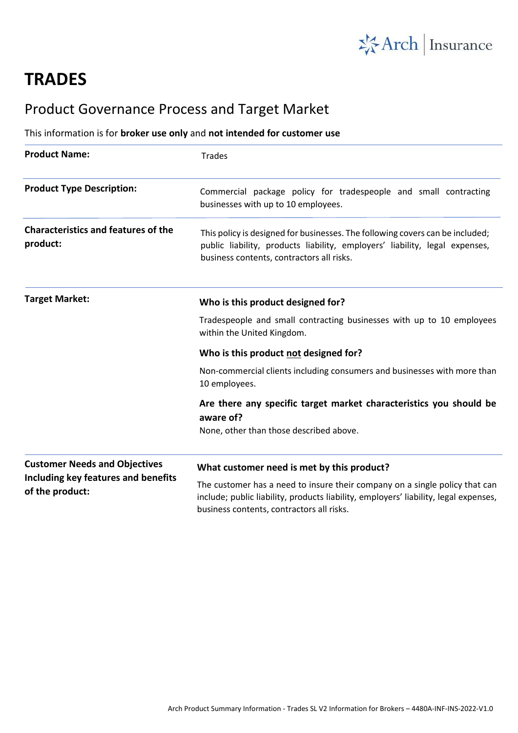

# **TRADES**

## Product Governance Process and Target Market

### This information is for **broker use only** and **not intended for customer use**

| <b>Product Name:</b>                                                                           | <b>Trades</b>                                                                                                                                                                                                    |
|------------------------------------------------------------------------------------------------|------------------------------------------------------------------------------------------------------------------------------------------------------------------------------------------------------------------|
| <b>Product Type Description:</b>                                                               | Commercial package policy for tradespeople and small contracting<br>businesses with up to 10 employees.                                                                                                          |
| <b>Characteristics and features of the</b><br>product:                                         | This policy is designed for businesses. The following covers can be included;<br>public liability, products liability, employers' liability, legal expenses,<br>business contents, contractors all risks.        |
| <b>Target Market:</b>                                                                          | Who is this product designed for?                                                                                                                                                                                |
|                                                                                                | Tradespeople and small contracting businesses with up to 10 employees<br>within the United Kingdom.                                                                                                              |
|                                                                                                | Who is this product not designed for?                                                                                                                                                                            |
|                                                                                                | Non-commercial clients including consumers and businesses with more than<br>10 employees.                                                                                                                        |
|                                                                                                | Are there any specific target market characteristics you should be<br>aware of?                                                                                                                                  |
|                                                                                                | None, other than those described above.                                                                                                                                                                          |
| <b>Customer Needs and Objectives</b><br>Including key features and benefits<br>of the product: | What customer need is met by this product?                                                                                                                                                                       |
|                                                                                                | The customer has a need to insure their company on a single policy that can<br>include; public liability, products liability, employers' liability, legal expenses,<br>business contents, contractors all risks. |